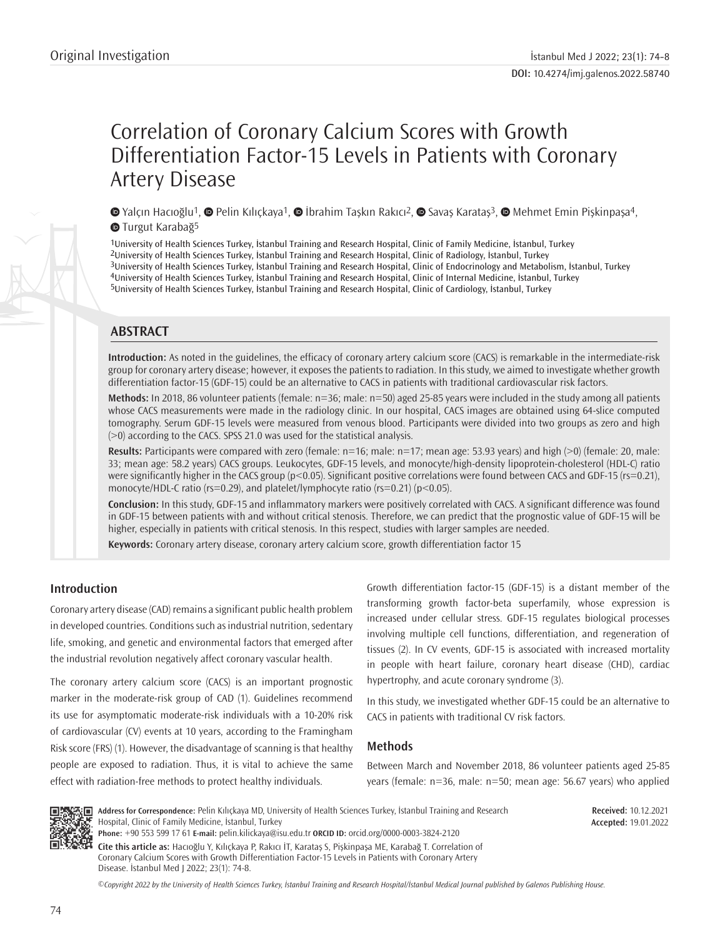# Correlation of Coronary Calcium Scores with Growth Differentiation Factor-15 Levels in Patients with Coronary Artery Disease

 $\bullet$ Yalçın Hacıoğlu<sup>1</sup>,  $\bullet$  Pelin Kılıçkaya<sup>1</sup>,  $\bullet$  İbrahim Taşkın Rakıcı<sup>2</sup>,  $\bullet$  Savaş Karataş<sup>3</sup>,  $\bullet$  Mehmet Emin Pişkinpaşa<sup>4</sup>, **TurgutKarabağ**<sup>5</sup>

University of Health Sciences Turkey, İstanbul Training and Research Hospital, Clinic of Family Medicine, İstanbul, Turkey University of Health Sciences Turkey, İstanbul Training and Research Hospital, Clinic of Radiology, İstanbul, Turkey University of Health Sciences Turkey, İstanbul Training and Research Hospital, Clinic of Endocrinology and Metabolism, İstanbul, Turkey University of Health Sciences Turkey, İstanbul Training and Research Hospital, Clinic of Internal Medicine, İstanbul, Turkey 5University of Health Sciences Turkey, İstanbul Training and Research Hospital, Clinic of Cardiology, İstanbul, Turkey

# **ABSTRACT**

**Introduction:** As noted in the guidelines, the efficacy of coronary artery calcium score (CACS) is remarkable in the intermediate-risk group for coronary artery disease; however, it exposes the patients to radiation. In this study, we aimed to investigate whether growth differentiation factor-15 (GDF-15) could be an alternative to CACS in patients with traditional cardiovascular risk factors.

**Methods:** In 2018, 86 volunteer patients (female: n=36; male: n=50) aged 25-85 years were included in the study among all patients whose CACS measurements were made in the radiology clinic. In our hospital, CACS images are obtained using 64-slice computed tomography. Serum GDF-15 levels were measured from venous blood. Participants were divided into two groups as zero and high (>0) according to the CACS. SPSS 21.0 was used for the statistical analysis.

**Results:** Participants were compared with zero (female: n=16; male: n=17; mean age: 53.93 years) and high (>0) (female: 20, male: 33; mean age: 58.2 years) CACS groups. Leukocytes, GDF-15 levels, and monocyte/high-density lipoprotein-cholesterol (HDL-C) ratio were significantly higher in the CACS group (p<0.05). Significant positive correlations were found between CACS and GDF-15 (rs=0.21), monocyte/HDL-C ratio (rs=0.29), and platelet/lymphocyte ratio (rs=0.21) (p<0.05).

**Conclusion:** In this study, GDF-15 and inflammatory markers were positively correlated with CACS. A significant difference was found in GDF-15 between patients with and without critical stenosis. Therefore, we can predict that the prognostic value of GDF-15 will be higher, especially in patients with critical stenosis. In this respect, studies with larger samples are needed.

**Keywords:** Coronary artery disease, coronary artery calcium score, growth differentiation factor 15

# **Introduction**

Coronary artery disease (CAD) remains a significant public health problem in developed countries. Conditions such as industrial nutrition, sedentary life, smoking, and genetic and environmental factors that emerged after the industrial revolution negatively affect coronary vascular health.

The coronary artery calcium score (CACS) is an important prognostic marker in the moderate-risk group of CAD (1). Guidelines recommend its use for asymptomatic moderate-risk individuals with a 10-20% risk of cardiovascular (CV) events at 10 years, according to the Framingham Risk score (FRS) (1). However, the disadvantage of scanning is that healthy people are exposed to radiation. Thus, it is vital to achieve the same effect with radiation-free methods to protect healthy individuals.

Growth differentiation factor-15 (GDF-15) is a distant member of the transforming growth factor-beta superfamily, whose expression is increased under cellular stress. GDF-15 regulates biological processes involving multiple cell functions, differentiation, and regeneration of tissues (2). In CV events, GDF-15 is associated with increased mortality in people with heart failure, coronary heart disease (CHD), cardiac hypertrophy, and acute coronary syndrome (3).

In this study, we investigated whether GDF-15 could be an alternative to CACS in patients with traditional CV risk factors.

# **Methods**

Between March and November 2018, 86 volunteer patients aged 25-85 years (female: n=36, male: n=50; mean age: 56.67 years) who applied



**Address for Correspondence:** Pelin Kılıçkaya MD, University of Health Sciences Turkey, İstanbul Training and Research Hospital, Clinic of Family Medicine, İstanbul, Turkey

**Received:** 10.12.2021 **Accepted:** 19.01.2022

**Phone:** +90 553 599 17 61 **E-mail:** pelin.kilickaya@isu.edu.tr **ORCID ID:** orcid.org/0000-0003-3824-2120

**Cite this article as:** Hacıoğlu Y, Kılıçkaya P, Rakıcı İT, Karataş S, Pişkinpaşa ME, Karabağ T. Correlation of Coronary Calcium Scores with Growth Differentiation Factor-15 Levels in Patients with Coronary Artery Disease. İstanbul Med J 2022; 23(1): 74-8.

*©*Copyright 2022 by the University of Health Sciences Turkey, İstanbul Training and Research Hospital/İstanbul Medical Journal published by Galenos Publishing House.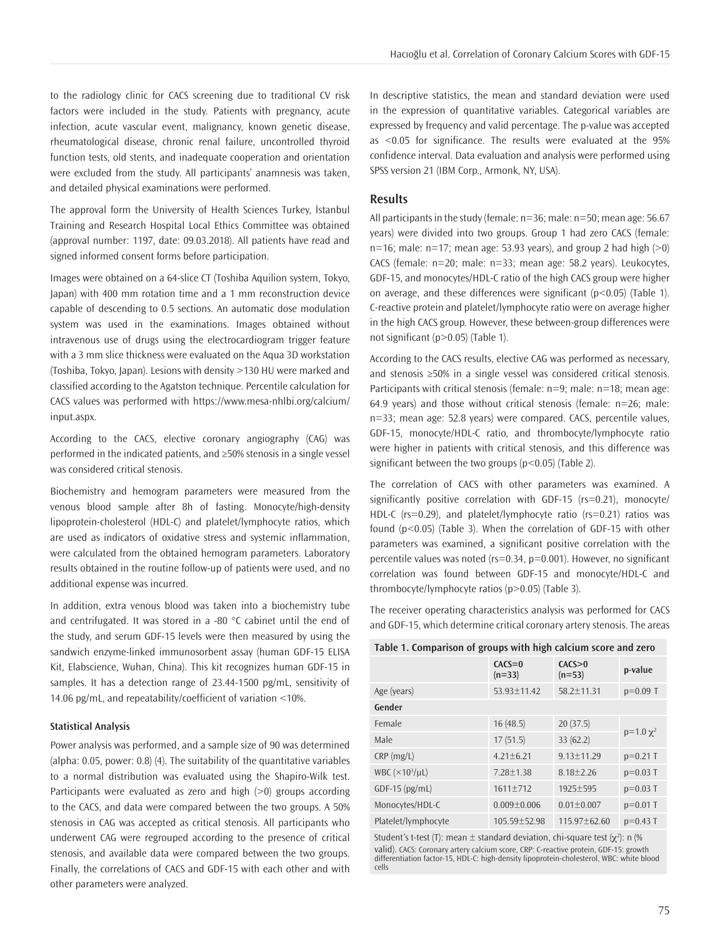to the radiology clinic for CACS screening due to traditional CV risk factors were included in the study. Patients with pregnancy, acute infection, acute vascular event, malignancy, known genetic disease, rheumatological disease, chronic renal failure, uncontrolled thyroid function tests, old stents, and inadequate cooperation and orientation were excluded from the study. All participants' anamnesis was taken, and detailed physical examinations were performed.

The approval form the University of Health Sciences Turkey, İstanbul Training and Research Hospital Local Ethics Committee was obtained (approval number: 1197, date: 09.03.2018). All patients have read and signed informed consent forms before participation.

Images were obtained on a 64-slice CT (Toshiba Aquilion system, Tokyo, Japan) with 400 mm rotation time and a 1 mm reconstruction device capable of descending to 0.5 sections. An automatic dose modulation system was used in the examinations. Images obtained without intravenous use of drugs using the electrocardiogram trigger feature with a 3 mm slice thickness were evaluated on the Aqua 3D workstation (Toshiba, Tokyo, Japan). Lesions with density >130 HU were marked and classified according to the Agatston technique. Percentile calculation for CACS values was performed with https://www.mesa-nhlbi.org/calcium/ input.aspx.

According to the CACS, elective coronary angiography (CAG) was performed in the indicated patients, and ≥50% stenosis in a single vessel was considered critical stenosis.

Biochemistry and hemogram parameters were measured from the venous blood sample after 8h of fasting. Monocyte/high-density lipoprotein-cholesterol (HDL-C) and platelet/lymphocyte ratios, which are used as indicators of oxidative stress and systemic inflammation, were calculated from the obtained hemogram parameters. Laboratory results obtained in the routine follow-up of patients were used, and no additional expense was incurred.

In addition, extra venous blood was taken into a biochemistry tube and centrifugated. It was stored in a -80 °C cabinet until the end of the study, and serum GDF-15 levels were then measured by using the sandwich enzyme-linked immunosorbent assay (human GDF-15 ELISA Kit, Elabscience, Wuhan, China). This kit recognizes human GDF-15 in samples. It has a detection range of 23.44-1500 pg/mL, sensitivity of 14.06 pg/mL, and repeatability/coefficient of variation <10%.

# **Statistical Analysis**

Power analysis was performed, and a sample size of 90 was determined (alpha: 0.05, power: 0.8) (4). The suitability of the quantitative variables to a normal distribution was evaluated using the Shapiro-Wilk test. Participants were evaluated as zero and high (>0) groups according to the CACS, and data were compared between the two groups. A 50% stenosis in CAG was accepted as critical stenosis. All participants who underwent CAG were regrouped according to the presence of critical stenosis, and available data were compared between the two groups. Finally, the correlations of CACS and GDF-15 with each other and with other parameters were analyzed.

In descriptive statistics, the mean and standard deviation were used in the expression of quantitative variables. Categorical variables are expressed by frequency and valid percentage. The p-value was accepted as <0.05 for significance. The results were evaluated at the 95% confidence interval. Data evaluation and analysis were performed using SPSS version 21 (IBM Corp., Armonk, NY, USA).

#### **Results**

All participants in the study (female: n=36; male: n=50; mean age: 56.67 years) were divided into two groups. Group 1 had zero CACS (female: n=16; male:  $n=17$ ; mean age: 53.93 years), and group 2 had high ( $>0$ ) CACS (female: n=20; male: n=33; mean age: 58.2 years). Leukocytes, GDF-15, and monocytes/HDL-C ratio of the high CACS group were higher on average, and these differences were significant  $(p<0.05)$  (Table 1). C-reactive protein and platelet/lymphocyte ratio were on average higher in the high CACS group. However, these between-group differences were not significant (p>0.05) (Table 1).

According to the CACS results, elective CAG was performed as necessary, and stenosis ≥50% in a single vessel was considered critical stenosis. Participants with critical stenosis (female: n=9; male: n=18; mean age: 64.9 years) and those without critical stenosis (female: n=26; male: n=33; mean age: 52.8 years) were compared. CACS, percentile values, GDF-15, monocyte/HDL-C ratio, and thrombocyte/lymphocyte ratio were higher in patients with critical stenosis, and this difference was significant between the two groups  $(p<0.05)$  (Table 2).

The correlation of CACS with other parameters was examined. A significantly positive correlation with GDF-15 (rs=0.21), monocyte/ HDL-C (rs=0.29), and platelet/lymphocyte ratio (rs=0.21) ratios was found (p<0.05) (Table 3). When the correlation of GDF-15 with other parameters was examined, a significant positive correlation with the percentile values was noted (rs=0.34, p=0.001). However, no significant correlation was found between GDF-15 and monocyte/HDL-C and thrombocyte/lymphocyte ratios (p>0.05) (Table 3).

The receiver operating characteristics analysis was performed for CACS and GDF-15, which determine critical coronary artery stenosis. The areas

| Table 1. Comparison of groups with high calcium score and zero |  |
|----------------------------------------------------------------|--|
|----------------------------------------------------------------|--|

| p-value                    |
|----------------------------|
| $p=0.09$ T                 |
|                            |
|                            |
| $p=1.0 \chi^2$             |
| $p=0.21$ T                 |
| $p=0.03$ T                 |
| $p=0.03$ T                 |
| $p=0.01$ T                 |
| $p=0.43$ T<br>115.97±62.60 |
|                            |

Student's t-test (T): mean  $\pm$  standard deviation, chi-square test ( $\chi^2$ ): n (% valid). CACS: Coronary artery calcium score, CRP: C-reactive protein, GDF-15: growth differentiation factor-15, HDL-C: high-density lipoprotein-cholesterol, WBC: white blood cells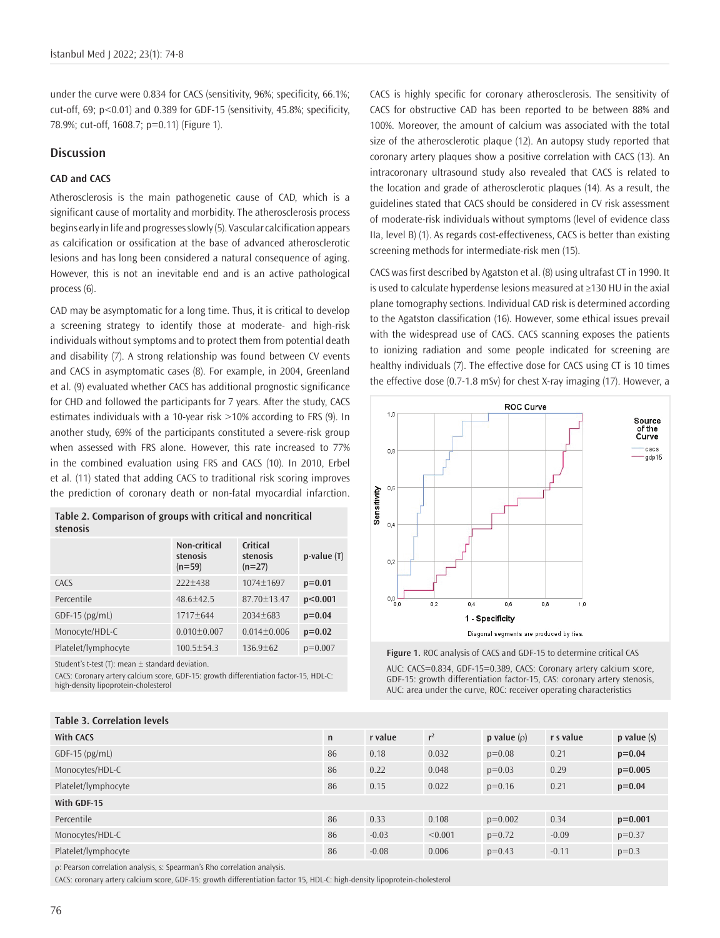under the curve were 0.834 for CACS (sensitivity, 96%; specificity, 66.1%; cut-off, 69; p<0.01) and 0.389 for GDF-15 (sensitivity, 45.8%; specificity, 78.9%; cut-off, 1608.7; p=0.11) (Figure 1).

# **Discussion**

# **CAD and CACS**

Atherosclerosis is the main pathogenetic cause of CAD, which is a significant cause of mortality and morbidity. The atherosclerosis process begins early in life and progresses slowly (5). Vascular calcification appears as calcification or ossification at the base of advanced atherosclerotic lesions and has long been considered a natural consequence of aging. However, this is not an inevitable end and is an active pathological process (6).

CAD may be asymptomatic for a long time. Thus, it is critical to develop a screening strategy to identify those at moderate- and high-risk individuals without symptoms and to protect them from potential death and disability (7). A strong relationship was found between CV events and CACS in asymptomatic cases (8). For example, in 2004, Greenland et al. (9) evaluated whether CACS has additional prognostic significance for CHD and followed the participants for 7 years. After the study, CACS estimates individuals with a 10-year risk >10% according to FRS (9). In another study, 69% of the participants constituted a severe-risk group when assessed with FRS alone. However, this rate increased to 77% in the combined evaluation using FRS and CACS (10). In 2010, Erbel et al. (11) stated that adding CACS to traditional risk scoring improves the prediction of coronary death or non-fatal myocardial infarction.

| Table 2. Comparison of groups with critical and noncritical |  |  |
|-------------------------------------------------------------|--|--|
| stenosis                                                    |  |  |

|                     | Non-critical<br>stenosis<br>$(n=59)$ | Critical<br>stenosis<br>$(n=27)$ | $p-value(T)$ |
|---------------------|--------------------------------------|----------------------------------|--------------|
| CACS                | $222+438$                            | $1074 + 1697$                    | $p=0.01$     |
| Percentile          | $48.6 + 42.5$                        | $87.70 + 13.47$                  | p<0.001      |
| $GDF-15$ (pg/mL)    | $1717 + 644$                         | $2034 + 683$                     | $p=0.04$     |
| Monocyte/HDL-C      | $0.010 + 0.007$                      | $0.014 \pm 0.006$                | $p=0.02$     |
| Platelet/lymphocyte | $100.5 + 54.3$                       | $136.9 + 62$                     | $p=0.007$    |

Student's t-test (T): mean  $\pm$  standard deviation.

**Table 3. Correlation levels**

CACS: Coronary artery calcium score, GDF-15: growth differentiation factor-15, HDL-C: high-density lipoprotein-cholesterol

CACS is highly specific for coronary atherosclerosis. The sensitivity of CACS for obstructive CAD has been reported to be between 88% and 100%. Moreover, the amount of calcium was associated with the total size of the atherosclerotic plaque (12). An autopsy study reported that coronary artery plaques show a positive correlation with CACS (13). An intracoronary ultrasound study also revealed that CACS is related to the location and grade of atherosclerotic plaques (14). As a result, the guidelines stated that CACS should be considered in CV risk assessment of moderate-risk individuals without symptoms (level of evidence class IIa, level B) (1). As regards cost-effectiveness, CACS is better than existing screening methods for intermediate-risk men (15).

CACS was first described by Agatston et al. (8) using ultrafast CT in 1990. It is used to calculate hyperdense lesions measured at ≥130 HU in the axial plane tomography sections. Individual CAD risk is determined according to the Agatston classification (16). However, some ethical issues prevail with the widespread use of CACS. CACS scanning exposes the patients to ionizing radiation and some people indicated for screening are healthy individuals (7). The effective dose for CACS using CT is 10 times the effective dose (0.7-1.8 mSv) for chest X-ray imaging (17). However, a



**Figure 1.** ROC analysis of CACS and GDF-15 to determine critical CAS

AUC: CACS=0.834, GDF-15=0.389, CACS: Coronary artery calcium score, GDF-15: growth differentiation factor-15, CAS: coronary artery stenosis, AUC: area under the curve, ROC: receiver operating characteristics

| Table 3. Correlation levels |              |         |         |                  |           |                 |
|-----------------------------|--------------|---------|---------|------------------|-----------|-----------------|
| <b>With CACS</b>            | $\mathsf{n}$ | r value | $r^2$   | p value $(\rho)$ | r s value | $p$ value $(s)$ |
| $GDF-15$ (pg/mL)            | 86           | 0.18    | 0.032   | $p=0.08$         | 0.21      | $p=0.04$        |
| Monocytes/HDL-C             | 86           | 0.22    | 0.048   | $p=0.03$         | 0.29      | $p=0.005$       |
| Platelet/lymphocyte         | 86           | 0.15    | 0.022   | $p=0.16$         | 0.21      | $p=0.04$        |
| With GDF-15                 |              |         |         |                  |           |                 |
| Percentile                  | 86           | 0.33    | 0.108   | $p=0.002$        | 0.34      | $p=0.001$       |
| Monocytes/HDL-C             | 86           | $-0.03$ | < 0.001 | $p=0.72$         | $-0.09$   | $p=0.37$        |
| Platelet/lymphocyte         | 86           | $-0.08$ | 0.006   | $p=0.43$         | $-0.11$   | $p=0.3$         |
|                             |              |         |         |                  |           |                 |

ρ: Pearson correlation analysis, s: Spearman's Rho correlation analysis.

CACS: coronary artery calcium score, GDF-15: growth differentiation factor 15, HDL-C: high-density lipoprotein-cholesterol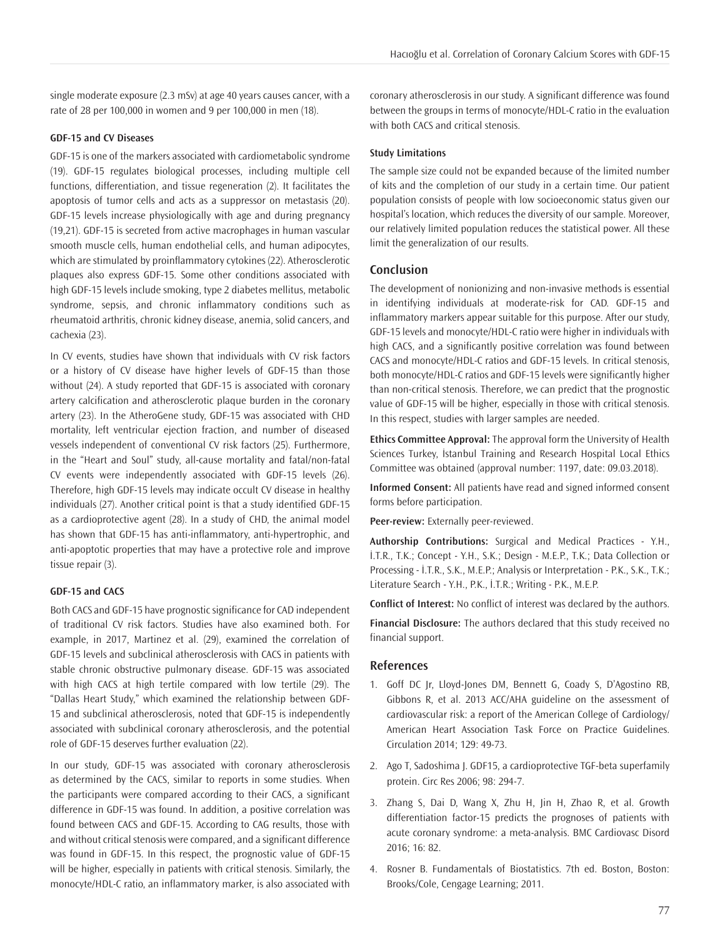single moderate exposure (2.3 mSv) at age 40 years causes cancer, with a rate of 28 per 100,000 in women and 9 per 100,000 in men (18).

# **GDF-15 and CV Diseases**

GDF-15 is one of the markers associated with cardiometabolic syndrome (19). GDF-15 regulates biological processes, including multiple cell functions, differentiation, and tissue regeneration (2). It facilitates the apoptosis of tumor cells and acts as a suppressor on metastasis (20). GDF-15 levels increase physiologically with age and during pregnancy (19,21). GDF-15 is secreted from active macrophages in human vascular smooth muscle cells, human endothelial cells, and human adipocytes, which are stimulated by proinflammatory cytokines (22). Atherosclerotic plaques also express GDF-15. Some other conditions associated with high GDF-15 levels include smoking, type 2 diabetes mellitus, metabolic syndrome, sepsis, and chronic inflammatory conditions such as rheumatoid arthritis, chronic kidney disease, anemia, solid cancers, and cachexia (23).

In CV events, studies have shown that individuals with CV risk factors or a history of CV disease have higher levels of GDF-15 than those without (24). A study reported that GDF-15 is associated with coronary artery calcification and atherosclerotic plaque burden in the coronary artery (23). In the AtheroGene study, GDF-15 was associated with CHD mortality, left ventricular ejection fraction, and number of diseased vessels independent of conventional CV risk factors (25). Furthermore, in the "Heart and Soul" study, all-cause mortality and fatal/non-fatal CV events were independently associated with GDF-15 levels (26). Therefore, high GDF-15 levels may indicate occult CV disease in healthy individuals (27). Another critical point is that a study identified GDF-15 as a cardioprotective agent (28). In a study of CHD, the animal model has shown that GDF-15 has anti-inflammatory, anti-hypertrophic, and anti-apoptotic properties that may have a protective role and improve tissue repair (3).

## **GDF-15 and CACS**

Both CACS and GDF-15 have prognostic significance for CAD independent of traditional CV risk factors. Studies have also examined both. For example, in 2017, Martinez et al. (29), examined the correlation of GDF-15 levels and subclinical atherosclerosis with CACS in patients with stable chronic obstructive pulmonary disease. GDF-15 was associated with high CACS at high tertile compared with low tertile (29). The "Dallas Heart Study," which examined the relationship between GDF-15 and subclinical atherosclerosis, noted that GDF-15 is independently associated with subclinical coronary atherosclerosis, and the potential role of GDF-15 deserves further evaluation (22).

In our study, GDF-15 was associated with coronary atherosclerosis as determined by the CACS, similar to reports in some studies. When the participants were compared according to their CACS, a significant difference in GDF-15 was found. In addition, a positive correlation was found between CACS and GDF-15. According to CAG results, those with and without critical stenosis were compared, and a significant difference was found in GDF-15. In this respect, the prognostic value of GDF-15 will be higher, especially in patients with critical stenosis. Similarly, the monocyte/HDL-C ratio, an inflammatory marker, is also associated with

coronary atherosclerosis in our study. A significant difference was found between the groups in terms of monocyte/HDL-C ratio in the evaluation with both CACS and critical stenosis.

# **Study Limitations**

The sample size could not be expanded because of the limited number of kits and the completion of our study in a certain time. Our patient population consists of people with low socioeconomic status given our hospital's location, which reduces the diversity of our sample. Moreover, our relatively limited population reduces the statistical power. All these limit the generalization of our results.

#### **Conclusion**

The development of nonionizing and non-invasive methods is essential in identifying individuals at moderate-risk for CAD. GDF-15 and inflammatory markers appear suitable for this purpose. After our study, GDF-15 levels and monocyte/HDL-C ratio were higher in individuals with high CACS, and a significantly positive correlation was found between CACS and monocyte/HDL-C ratios and GDF-15 levels. In critical stenosis, both monocyte/HDL-C ratios and GDF-15 levels were significantly higher than non-critical stenosis. Therefore, we can predict that the prognostic value of GDF-15 will be higher, especially in those with critical stenosis. In this respect, studies with larger samples are needed.

**Ethics Committee Approval:** The approval form the University of Health Sciences Turkey, İstanbul Training and Research Hospital Local Ethics Committee was obtained (approval number: 1197, date: 09.03.2018).

**Informed Consent:** All patients have read and signed informed consent forms before participation.

**Peer-review:** Externally peer-reviewed.

**Authorship Contributions:** Surgical and Medical Practices - Y.H., İ.T.R., T.K.; Concept - Y.H., S.K.; Design - M.E.P., T.K.; Data Collection or Processing - İ.T.R., S.K., M.E.P.; Analysis or Interpretation - P.K., S.K., T.K.; Literature Search - Y.H., P.K., İ.T.R.; Writing - P.K., M.E.P.

**Conflict of Interest:** No conflict of interest was declared by the authors.

**Financial Disclosure:** The authors declared that this study received no financial support.

# **References**

- 1. Goff DC Jr, Lloyd-Jones DM, Bennett G, Coady S, D'Agostino RB, Gibbons R, et al. 2013 ACC/AHA guideline on the assessment of cardiovascular risk: a report of the American College of Cardiology/ American Heart Association Task Force on Practice Guidelines. Circulation 2014; 129: 49-73.
- 2. Ago T, Sadoshima J. GDF15, a cardioprotective TGF-beta superfamily protein. Circ Res 2006; 98: 294-7.
- 3. Zhang S, Dai D, Wang X, Zhu H, Jin H, Zhao R, et al. Growth differentiation factor-15 predicts the prognoses of patients with acute coronary syndrome: a meta-analysis. BMC Cardiovasc Disord 2016; 16: 82.
- 4. Rosner B. Fundamentals of Biostatistics. 7th ed. Boston, Boston: Brooks/Cole, Cengage Learning; 2011.